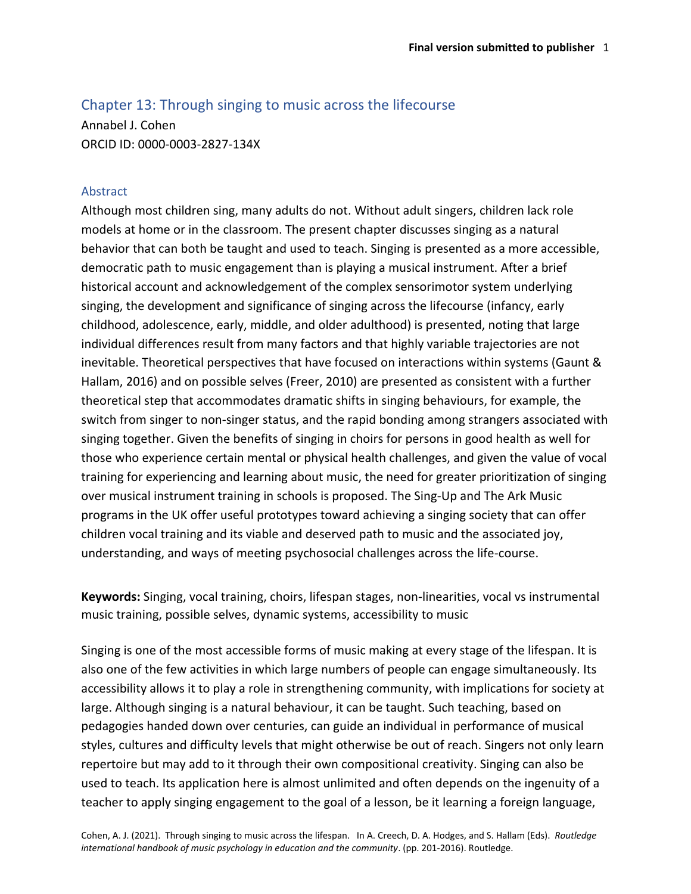# Chapter 13: Through singing to music across the lifecourse

Annabel J. Cohen ORCID ID: 0000-0003-2827-134X

## Abstract

Although most children sing, many adults do not. Without adult singers, children lack role models at home or in the classroom. The present chapter discusses singing as a natural behavior that can both be taught and used to teach. Singing is presented as a more accessible, democratic path to music engagement than is playing a musical instrument. After a brief historical account and acknowledgement of the complex sensorimotor system underlying singing, the development and significance of singing across the lifecourse (infancy, early childhood, adolescence, early, middle, and older adulthood) is presented, noting that large individual differences result from many factors and that highly variable trajectories are not inevitable. Theoretical perspectives that have focused on interactions within systems (Gaunt & Hallam, 2016) and on possible selves (Freer, 2010) are presented as consistent with a further theoretical step that accommodates dramatic shifts in singing behaviours, for example, the switch from singer to non-singer status, and the rapid bonding among strangers associated with singing together. Given the benefits of singing in choirs for persons in good health as well for those who experience certain mental or physical health challenges, and given the value of vocal training for experiencing and learning about music, the need for greater prioritization of singing over musical instrument training in schools is proposed. The Sing-Up and The Ark Music programs in the UK offer useful prototypes toward achieving a singing society that can offer children vocal training and its viable and deserved path to music and the associated joy, understanding, and ways of meeting psychosocial challenges across the life-course.

**Keywords:** Singing, vocal training, choirs, lifespan stages, non-linearities, vocal vs instrumental music training, possible selves, dynamic systems, accessibility to music

Singing is one of the most accessible forms of music making at every stage of the lifespan. It is also one of the few activities in which large numbers of people can engage simultaneously. Its accessibility allows it to play a role in strengthening community, with implications for society at large. Although singing is a natural behaviour, it can be taught. Such teaching, based on pedagogies handed down over centuries, can guide an individual in performance of musical styles, cultures and difficulty levels that might otherwise be out of reach. Singers not only learn repertoire but may add to it through their own compositional creativity. Singing can also be used to teach. Its application here is almost unlimited and often depends on the ingenuity of a teacher to apply singing engagement to the goal of a lesson, be it learning a foreign language,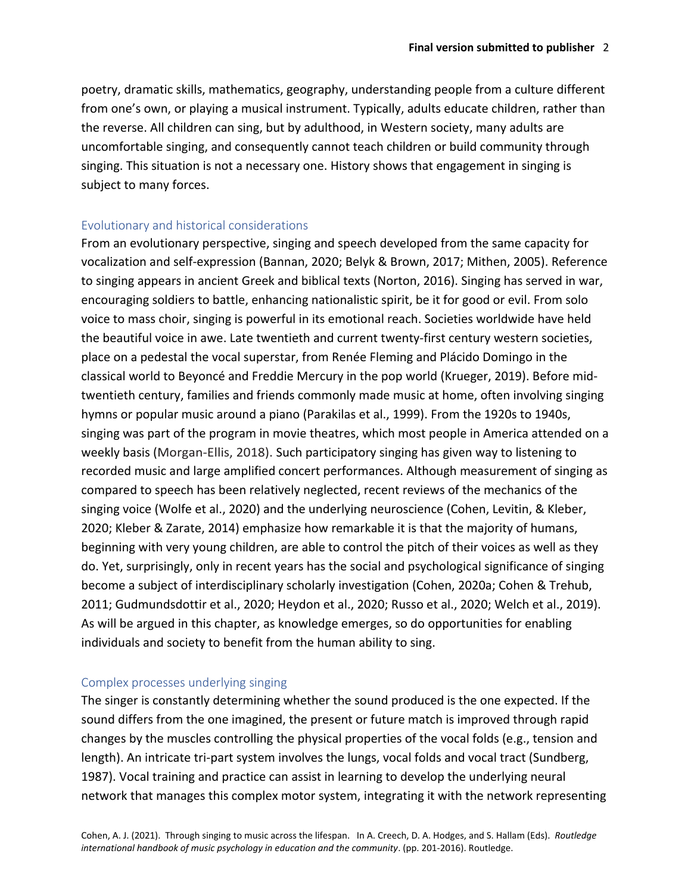poetry, dramatic skills, mathematics, geography, understanding people from a culture different from one's own, or playing a musical instrument. Typically, adults educate children, rather than the reverse. All children can sing, but by adulthood, in Western society, many adults are uncomfortable singing, and consequently cannot teach children or build community through singing. This situation is not a necessary one. History shows that engagement in singing is subject to many forces.

#### Evolutionary and historical considerations

From an evolutionary perspective, singing and speech developed from the same capacity for vocalization and self-expression (Bannan, 2020; Belyk & Brown, 2017; Mithen, 2005). Reference to singing appears in ancient Greek and biblical texts (Norton, 2016). Singing has served in war, encouraging soldiers to battle, enhancing nationalistic spirit, be it for good or evil. From solo voice to mass choir, singing is powerful in its emotional reach. Societies worldwide have held the beautiful voice in awe. Late twentieth and current twenty-first century western societies, place on a pedestal the vocal superstar, from Renée Fleming and Plácido Domingo in the classical world to Beyoncé and Freddie Mercury in the pop world (Krueger, 2019). Before midtwentieth century, families and friends commonly made music at home, often involving singing hymns or popular music around a piano (Parakilas et al., 1999). From the 1920s to 1940s, singing was part of the program in movie theatres, which most people in America attended on a weekly basis (Morgan-Ellis, 2018). Such participatory singing has given way to listening to recorded music and large amplified concert performances. Although measurement of singing as compared to speech has been relatively neglected, recent reviews of the mechanics of the singing voice (Wolfe et al., 2020) and the underlying neuroscience (Cohen, Levitin, & Kleber, 2020; Kleber & Zarate, 2014) emphasize how remarkable it is that the majority of humans, beginning with very young children, are able to control the pitch of their voices as well as they do. Yet, surprisingly, only in recent years has the social and psychological significance of singing become a subject of interdisciplinary scholarly investigation (Cohen, 2020a; Cohen & Trehub, 2011; Gudmundsdottir et al., 2020; Heydon et al., 2020; Russo et al., 2020; Welch et al., 2019). As will be argued in this chapter, as knowledge emerges, so do opportunities for enabling individuals and society to benefit from the human ability to sing.

## Complex processes underlying singing

The singer is constantly determining whether the sound produced is the one expected. If the sound differs from the one imagined, the present or future match is improved through rapid changes by the muscles controlling the physical properties of the vocal folds (e.g., tension and length). An intricate tri-part system involves the lungs, vocal folds and vocal tract (Sundberg, 1987). Vocal training and practice can assist in learning to develop the underlying neural network that manages this complex motor system, integrating it with the network representing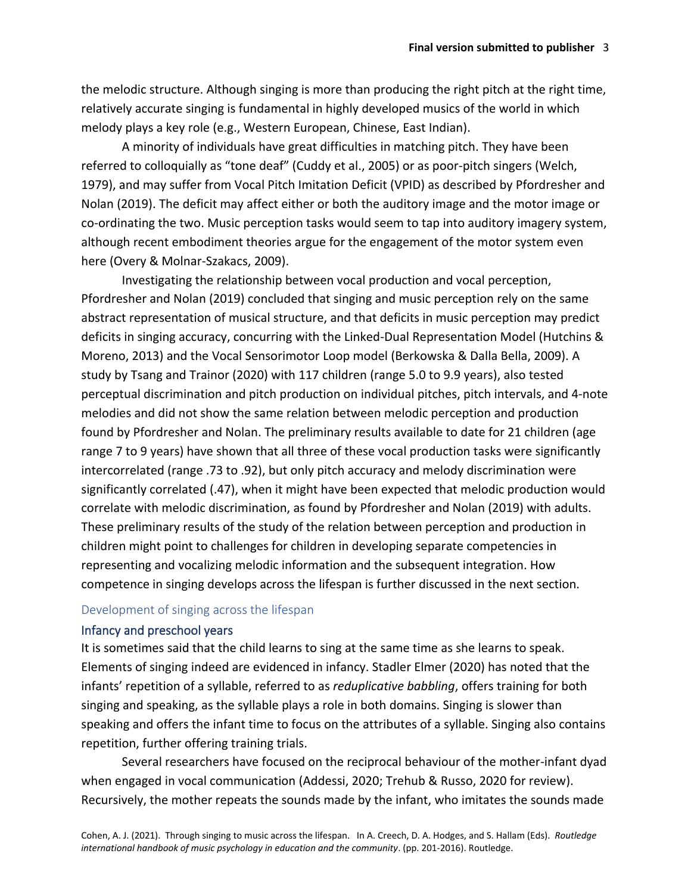the melodic structure. Although singing is more than producing the right pitch at the right time, relatively accurate singing is fundamental in highly developed musics of the world in which melody plays a key role (e.g., Western European, Chinese, East Indian).

A minority of individuals have great difficulties in matching pitch. They have been referred to colloquially as "tone deaf" (Cuddy et al., 2005) or as poor-pitch singers (Welch, 1979), and may suffer from Vocal Pitch Imitation Deficit (VPID) as described by Pfordresher and Nolan (2019). The deficit may affect either or both the auditory image and the motor image or co-ordinating the two. Music perception tasks would seem to tap into auditory imagery system, although recent embodiment theories argue for the engagement of the motor system even here (Overy & Molnar-Szakacs, 2009).

Investigating the relationship between vocal production and vocal perception, Pfordresher and Nolan (2019) concluded that singing and music perception rely on the same abstract representation of musical structure, and that deficits in music perception may predict deficits in singing accuracy, concurring with the Linked-Dual Representation Model (Hutchins & Moreno, 2013) and the Vocal Sensorimotor Loop model (Berkowska & Dalla Bella, 2009). A study by Tsang and Trainor (2020) with 117 children (range 5.0 to 9.9 years), also tested perceptual discrimination and pitch production on individual pitches, pitch intervals, and 4-note melodies and did not show the same relation between melodic perception and production found by Pfordresher and Nolan. The preliminary results available to date for 21 children (age range 7 to 9 years) have shown that all three of these vocal production tasks were significantly intercorrelated (range .73 to .92), but only pitch accuracy and melody discrimination were significantly correlated (.47), when it might have been expected that melodic production would correlate with melodic discrimination, as found by Pfordresher and Nolan (2019) with adults. These preliminary results of the study of the relation between perception and production in children might point to challenges for children in developing separate competencies in representing and vocalizing melodic information and the subsequent integration. How competence in singing develops across the lifespan is further discussed in the next section.

## Development of singing across the lifespan

# Infancy and preschool years

It is sometimes said that the child learns to sing at the same time as she learns to speak. Elements of singing indeed are evidenced in infancy. Stadler Elmer (2020) has noted that the infants' repetition of a syllable, referred to as *reduplicative babbling*, offers training for both singing and speaking, as the syllable plays a role in both domains. Singing is slower than speaking and offers the infant time to focus on the attributes of a syllable. Singing also contains repetition, further offering training trials.

Several researchers have focused on the reciprocal behaviour of the mother-infant dyad when engaged in vocal communication (Addessi, 2020; Trehub & Russo, 2020 for review). Recursively, the mother repeats the sounds made by the infant, who imitates the sounds made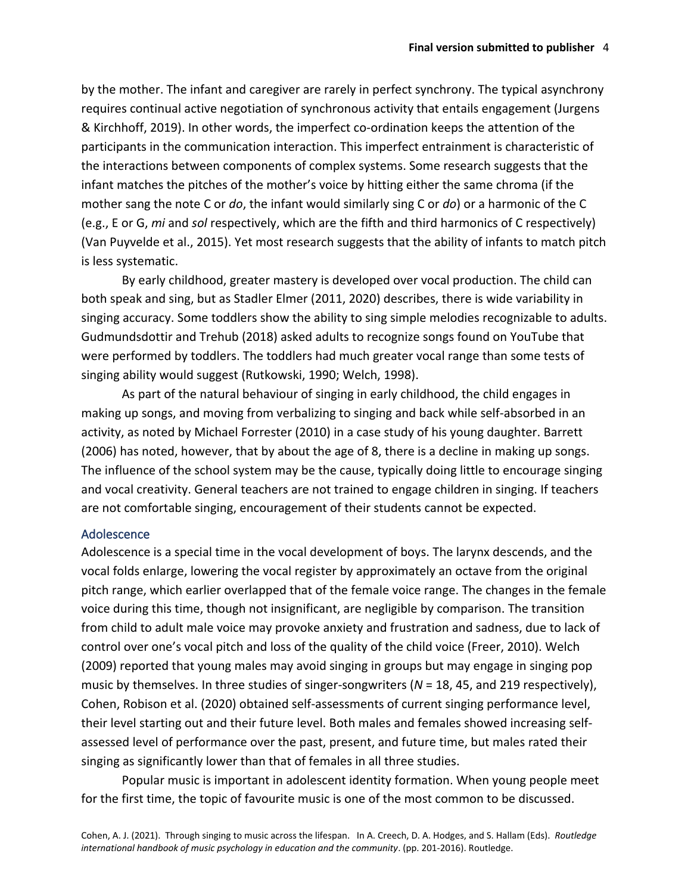by the mother. The infant and caregiver are rarely in perfect synchrony. The typical asynchrony requires continual active negotiation of synchronous activity that entails engagement (Jurgens & Kirchhoff, 2019). In other words, the imperfect co-ordination keeps the attention of the participants in the communication interaction. This imperfect entrainment is characteristic of the interactions between components of complex systems. Some research suggests that the infant matches the pitches of the mother's voice by hitting either the same chroma (if the mother sang the note C or *do*, the infant would similarly sing C or *do*) or a harmonic of the C (e.g., E or G, *mi* and *sol* respectively, which are the fifth and third harmonics of C respectively) (Van Puyvelde et al., 2015). Yet most research suggests that the ability of infants to match pitch is less systematic.

By early childhood, greater mastery is developed over vocal production. The child can both speak and sing, but as Stadler Elmer (2011, 2020) describes, there is wide variability in singing accuracy. Some toddlers show the ability to sing simple melodies recognizable to adults. Gudmundsdottir and Trehub (2018) asked adults to recognize songs found on YouTube that were performed by toddlers. The toddlers had much greater vocal range than some tests of singing ability would suggest (Rutkowski, 1990; Welch, 1998).

As part of the natural behaviour of singing in early childhood, the child engages in making up songs, and moving from verbalizing to singing and back while self-absorbed in an activity, as noted by Michael Forrester (2010) in a case study of his young daughter. Barrett (2006) has noted, however, that by about the age of 8, there is a decline in making up songs. The influence of the school system may be the cause, typically doing little to encourage singing and vocal creativity. General teachers are not trained to engage children in singing. If teachers are not comfortable singing, encouragement of their students cannot be expected.

## Adolescence

Adolescence is a special time in the vocal development of boys. The larynx descends, and the vocal folds enlarge, lowering the vocal register by approximately an octave from the original pitch range, which earlier overlapped that of the female voice range. The changes in the female voice during this time, though not insignificant, are negligible by comparison. The transition from child to adult male voice may provoke anxiety and frustration and sadness, due to lack of control over one's vocal pitch and loss of the quality of the child voice (Freer, 2010). Welch (2009) reported that young males may avoid singing in groups but may engage in singing pop music by themselves. In three studies of singer-songwriters (*N* = 18, 45, and 219 respectively), Cohen, Robison et al. (2020) obtained self-assessments of current singing performance level, their level starting out and their future level. Both males and females showed increasing selfassessed level of performance over the past, present, and future time, but males rated their singing as significantly lower than that of females in all three studies.

Popular music is important in adolescent identity formation. When young people meet for the first time, the topic of favourite music is one of the most common to be discussed.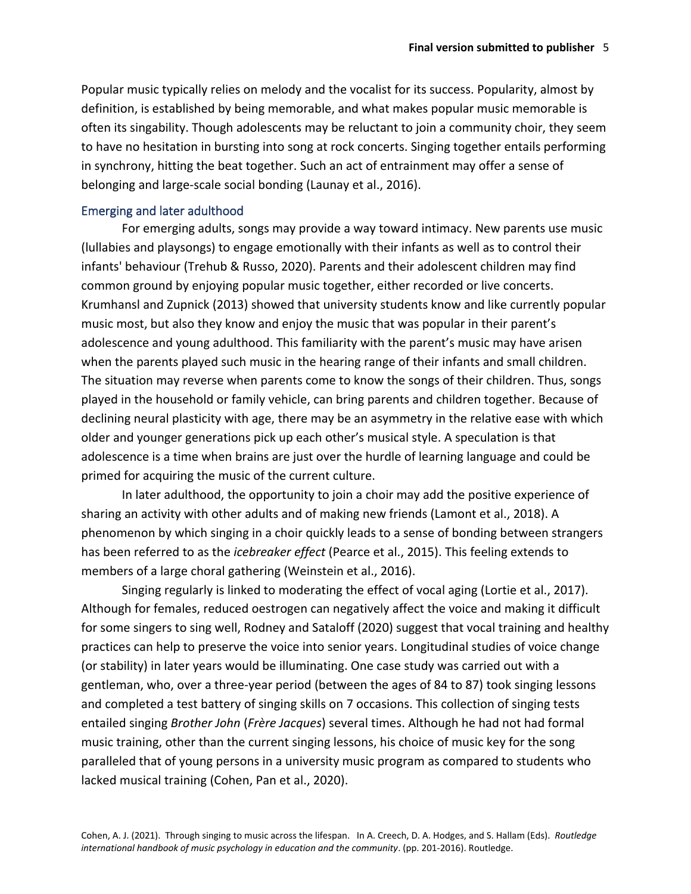Popular music typically relies on melody and the vocalist for its success. Popularity, almost by definition, is established by being memorable, and what makes popular music memorable is often its singability. Though adolescents may be reluctant to join a community choir, they seem to have no hesitation in bursting into song at rock concerts. Singing together entails performing in synchrony, hitting the beat together. Such an act of entrainment may offer a sense of belonging and large-scale social bonding (Launay et al., 2016).

## Emerging and later adulthood

For emerging adults, songs may provide a way toward intimacy. New parents use music (lullabies and playsongs) to engage emotionally with their infants as well as to control their infants' behaviour (Trehub & Russo, 2020). Parents and their adolescent children may find common ground by enjoying popular music together, either recorded or live concerts. Krumhansl and Zupnick (2013) showed that university students know and like currently popular music most, but also they know and enjoy the music that was popular in their parent's adolescence and young adulthood. This familiarity with the parent's music may have arisen when the parents played such music in the hearing range of their infants and small children. The situation may reverse when parents come to know the songs of their children. Thus, songs played in the household or family vehicle, can bring parents and children together. Because of declining neural plasticity with age, there may be an asymmetry in the relative ease with which older and younger generations pick up each other's musical style. A speculation is that adolescence is a time when brains are just over the hurdle of learning language and could be primed for acquiring the music of the current culture.

In later adulthood, the opportunity to join a choir may add the positive experience of sharing an activity with other adults and of making new friends (Lamont et al., 2018). A phenomenon by which singing in a choir quickly leads to a sense of bonding between strangers has been referred to as the *icebreaker effect* (Pearce et al., 2015). This feeling extends to members of a large choral gathering (Weinstein et al., 2016).

Singing regularly is linked to moderating the effect of vocal aging (Lortie et al., 2017). Although for females, reduced oestrogen can negatively affect the voice and making it difficult for some singers to sing well, Rodney and Sataloff (2020) suggest that vocal training and healthy practices can help to preserve the voice into senior years. Longitudinal studies of voice change (or stability) in later years would be illuminating. One case study was carried out with a gentleman, who, over a three-year period (between the ages of 84 to 87) took singing lessons and completed a test battery of singing skills on 7 occasions. This collection of singing tests entailed singing *Brother John* (*Frère Jacques*) several times. Although he had not had formal music training, other than the current singing lessons, his choice of music key for the song paralleled that of young persons in a university music program as compared to students who lacked musical training (Cohen, Pan et al., 2020).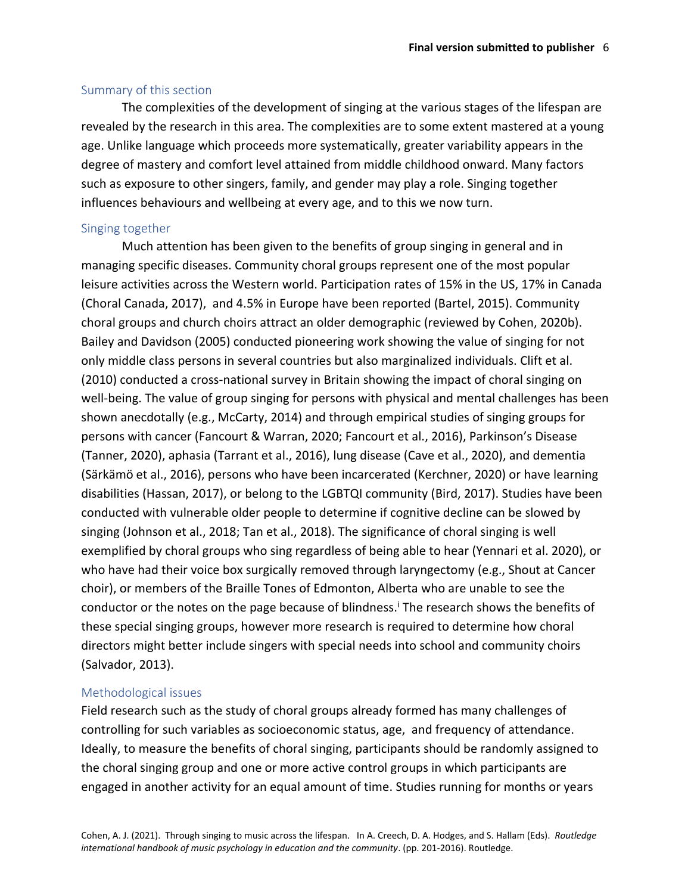#### Summary of this section

The complexities of the development of singing at the various stages of the lifespan are revealed by the research in this area. The complexities are to some extent mastered at a young age. Unlike language which proceeds more systematically, greater variability appears in the degree of mastery and comfort level attained from middle childhood onward. Many factors such as exposure to other singers, family, and gender may play a role. Singing together influences behaviours and wellbeing at every age, and to this we now turn.

## Singing together

Much attention has been given to the benefits of group singing in general and in managing specific diseases. Community choral groups represent one of the most popular leisure activities across the Western world. Participation rates of 15% in the US, 17% in Canada (Choral Canada, 2017), and 4.5% in Europe have been reported (Bartel, 2015). Community choral groups and church choirs attract an older demographic (reviewed by Cohen, 2020b). Bailey and Davidson (2005) conducted pioneering work showing the value of singing for not only middle class persons in several countries but also marginalized individuals. Clift et al. (2010) conducted a cross-national survey in Britain showing the impact of choral singing on well-being. The value of group singing for persons with physical and mental challenges has been shown anecdotally (e.g., McCarty, 2014) and through empirical studies of singing groups for persons with cancer (Fancourt & Warran, 2020; Fancourt et al., 2016), Parkinson's Disease (Tanner, 2020), aphasia (Tarrant et al., 2016), lung disease (Cave et al., 2020), and dementia (Särkämö et al., 2016), persons who have been incarcerated (Kerchner, 2020) or have learning disabilities (Hassan, 2017), or belong to the LGBTQI community (Bird, 2017). Studies have been conducted with vulnerable older people to determine if cognitive decline can be slowed by singing (Johnson et al., 2018; Tan et al., 2018). The significance of choral singing is well exemplified by choral groups who sing regardless of being able to hear (Yennari et al. 2020), or who have had their voice box surgically removed through laryngectomy (e.g., Shout at Cancer choir), or members of the Braille Tones of Edmonton, Alberta who are unable to see the conductor or the notes on the page because of blindness.<sup>i</sup> The research shows the benefits of these special singing groups, however more research is required to determine how choral directors might better include singers with special needs into school and community choirs (Salvador, 2013).

#### Methodological issues

Field research such as the study of choral groups already formed has many challenges of controlling for such variables as socioeconomic status, age, and frequency of attendance. Ideally, to measure the benefits of choral singing, participants should be randomly assigned to the choral singing group and one or more active control groups in which participants are engaged in another activity for an equal amount of time. Studies running for months or years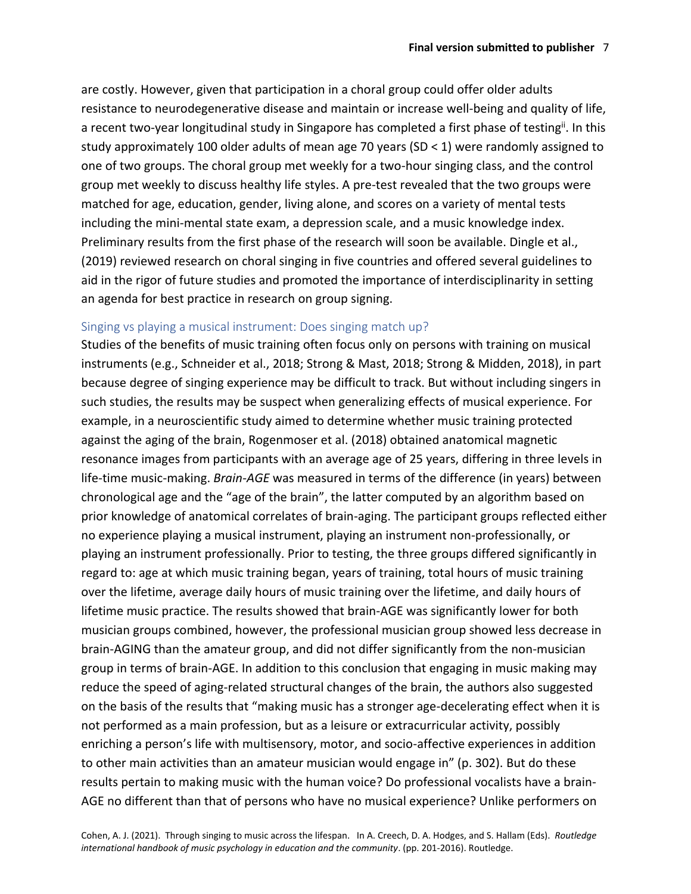are costly. However, given that participation in a choral group could offer older adults resistance to neurodegenerative disease and maintain or increase well-being and quality of life, a recent two-year longitudinal study in Singapore has completed a first phase of testing<sup>ii</sup>. In this study approximately 100 older adults of mean age 70 years (SD < 1) were randomly assigned to one of two groups. The choral group met weekly for a two-hour singing class, and the control group met weekly to discuss healthy life styles. A pre-test revealed that the two groups were matched for age, education, gender, living alone, and scores on a variety of mental tests including the mini-mental state exam, a depression scale, and a music knowledge index. Preliminary results from the first phase of the research will soon be available. Dingle et al., (2019) reviewed research on choral singing in five countries and offered several guidelines to aid in the rigor of future studies and promoted the importance of interdisciplinarity in setting an agenda for best practice in research on group signing.

#### Singing vs playing a musical instrument: Does singing match up?

Studies of the benefits of music training often focus only on persons with training on musical instruments (e.g., Schneider et al., 2018; Strong & Mast, 2018; Strong & Midden, 2018), in part because degree of singing experience may be difficult to track. But without including singers in such studies, the results may be suspect when generalizing effects of musical experience. For example, in a neuroscientific study aimed to determine whether music training protected against the aging of the brain, Rogenmoser et al. (2018) obtained anatomical magnetic resonance images from participants with an average age of 25 years, differing in three levels in life-time music-making. *Brain-AGE* was measured in terms of the difference (in years) between chronological age and the "age of the brain", the latter computed by an algorithm based on prior knowledge of anatomical correlates of brain-aging. The participant groups reflected either no experience playing a musical instrument, playing an instrument non-professionally, or playing an instrument professionally. Prior to testing, the three groups differed significantly in regard to: age at which music training began, years of training, total hours of music training over the lifetime, average daily hours of music training over the lifetime, and daily hours of lifetime music practice. The results showed that brain-AGE was significantly lower for both musician groups combined, however, the professional musician group showed less decrease in brain-AGING than the amateur group, and did not differ significantly from the non-musician group in terms of brain-AGE. In addition to this conclusion that engaging in music making may reduce the speed of aging-related structural changes of the brain, the authors also suggested on the basis of the results that "making music has a stronger age-decelerating effect when it is not performed as a main profession, but as a leisure or extracurricular activity, possibly enriching a person's life with multisensory, motor, and socio-affective experiences in addition to other main activities than an amateur musician would engage in" (p. 302). But do these results pertain to making music with the human voice? Do professional vocalists have a brain-AGE no different than that of persons who have no musical experience? Unlike performers on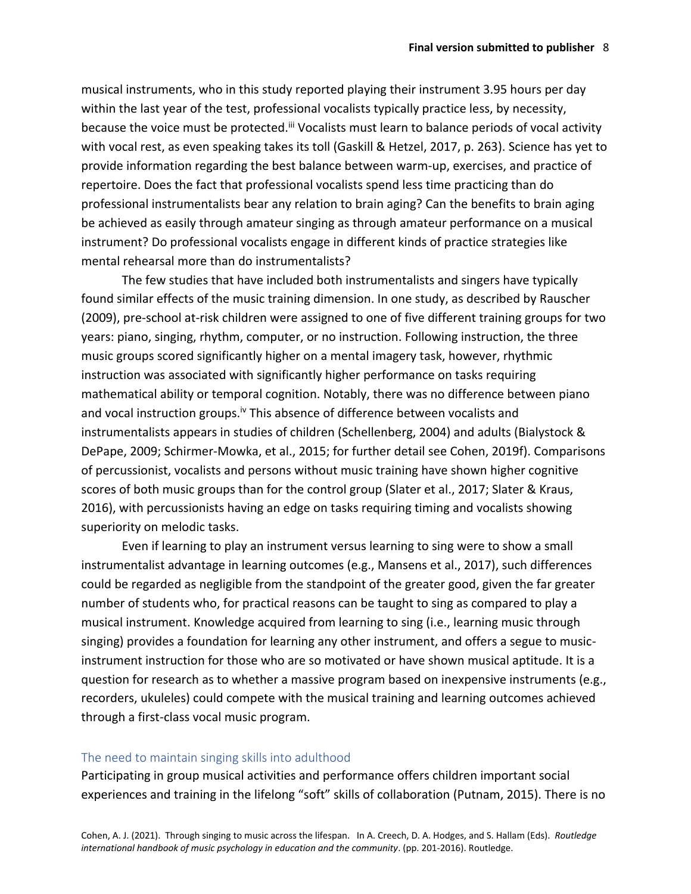musical instruments, who in this study reported playing their instrument 3.95 hours per day within the last year of the test, professional vocalists typically practice less, by necessity, because the voice must be protected.<sup>iii</sup> Vocalists must learn to balance periods of vocal activity with vocal rest, as even speaking takes its toll (Gaskill & Hetzel, 2017, p. 263). Science has yet to provide information regarding the best balance between warm-up, exercises, and practice of repertoire. Does the fact that professional vocalists spend less time practicing than do professional instrumentalists bear any relation to brain aging? Can the benefits to brain aging be achieved as easily through amateur singing as through amateur performance on a musical instrument? Do professional vocalists engage in different kinds of practice strategies like mental rehearsal more than do instrumentalists?

The few studies that have included both instrumentalists and singers have typically found similar effects of the music training dimension. In one study, as described by Rauscher (2009), pre-school at-risk children were assigned to one of five different training groups for two years: piano, singing, rhythm, computer, or no instruction. Following instruction, the three music groups scored significantly higher on a mental imagery task, however, rhythmic instruction was associated with significantly higher performance on tasks requiring mathematical ability or temporal cognition. Notably, there was no difference between piano and vocal instruction groups.<sup>iv</sup> This absence of difference between vocalists and instrumentalists appears in studies of children (Schellenberg, 2004) and adults (Bialystock & DePape, 2009; Schirmer-Mowka, et al., 2015; for further detail see Cohen, 2019f). Comparisons of percussionist, vocalists and persons without music training have shown higher cognitive scores of both music groups than for the control group (Slater et al., 2017; Slater & Kraus, 2016), with percussionists having an edge on tasks requiring timing and vocalists showing superiority on melodic tasks.

Even if learning to play an instrument versus learning to sing were to show a small instrumentalist advantage in learning outcomes (e.g., Mansens et al., 2017), such differences could be regarded as negligible from the standpoint of the greater good, given the far greater number of students who, for practical reasons can be taught to sing as compared to play a musical instrument. Knowledge acquired from learning to sing (i.e., learning music through singing) provides a foundation for learning any other instrument, and offers a segue to musicinstrument instruction for those who are so motivated or have shown musical aptitude. It is a question for research as to whether a massive program based on inexpensive instruments (e.g., recorders, ukuleles) could compete with the musical training and learning outcomes achieved through a first-class vocal music program.

#### The need to maintain singing skills into adulthood

Participating in group musical activities and performance offers children important social experiences and training in the lifelong "soft" skills of collaboration (Putnam, 2015). There is no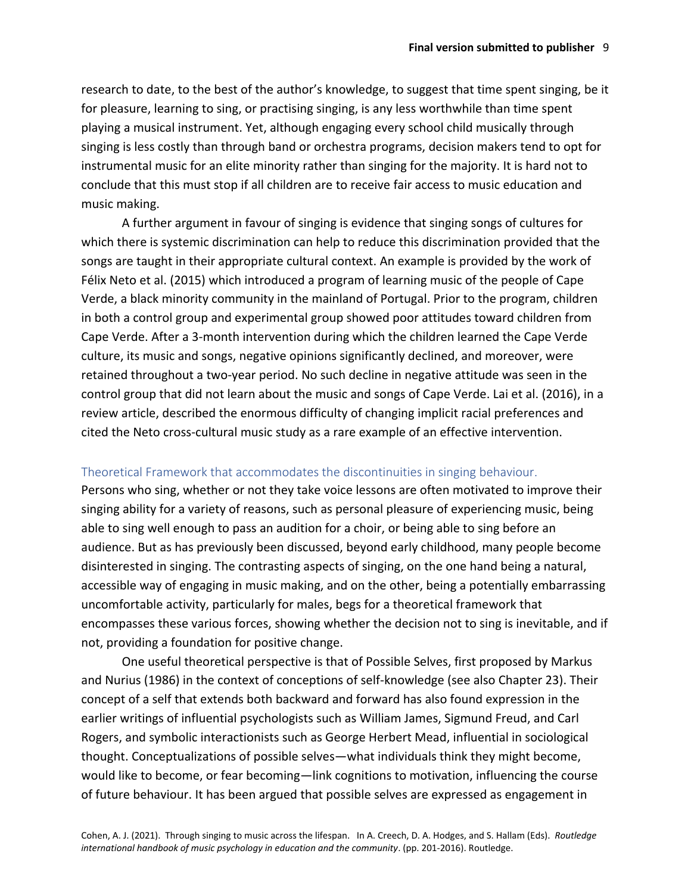research to date, to the best of the author's knowledge, to suggest that time spent singing, be it for pleasure, learning to sing, or practising singing, is any less worthwhile than time spent playing a musical instrument. Yet, although engaging every school child musically through singing is less costly than through band or orchestra programs, decision makers tend to opt for instrumental music for an elite minority rather than singing for the majority. It is hard not to conclude that this must stop if all children are to receive fair access to music education and music making.

A further argument in favour of singing is evidence that singing songs of cultures for which there is systemic discrimination can help to reduce this discrimination provided that the songs are taught in their appropriate cultural context. An example is provided by the work of Félix Neto et al. (2015) which introduced a program of learning music of the people of Cape Verde, a black minority community in the mainland of Portugal. Prior to the program, children in both a control group and experimental group showed poor attitudes toward children from Cape Verde. After a 3-month intervention during which the children learned the Cape Verde culture, its music and songs, negative opinions significantly declined, and moreover, were retained throughout a two-year period. No such decline in negative attitude was seen in the control group that did not learn about the music and songs of Cape Verde. Lai et al. (2016), in a review article, described the enormous difficulty of changing implicit racial preferences and cited the Neto cross-cultural music study as a rare example of an effective intervention.

## Theoretical Framework that accommodates the discontinuities in singing behaviour.

Persons who sing, whether or not they take voice lessons are often motivated to improve their singing ability for a variety of reasons, such as personal pleasure of experiencing music, being able to sing well enough to pass an audition for a choir, or being able to sing before an audience. But as has previously been discussed, beyond early childhood, many people become disinterested in singing. The contrasting aspects of singing, on the one hand being a natural, accessible way of engaging in music making, and on the other, being a potentially embarrassing uncomfortable activity, particularly for males, begs for a theoretical framework that encompasses these various forces, showing whether the decision not to sing is inevitable, and if not, providing a foundation for positive change.

One useful theoretical perspective is that of Possible Selves, first proposed by Markus and Nurius (1986) in the context of conceptions of self-knowledge (see also Chapter 23). Their concept of a self that extends both backward and forward has also found expression in the earlier writings of influential psychologists such as William James, Sigmund Freud, and Carl Rogers, and symbolic interactionists such as George Herbert Mead, influential in sociological thought. Conceptualizations of possible selves—what individuals think they might become, would like to become, or fear becoming—link cognitions to motivation, influencing the course of future behaviour. It has been argued that possible selves are expressed as engagement in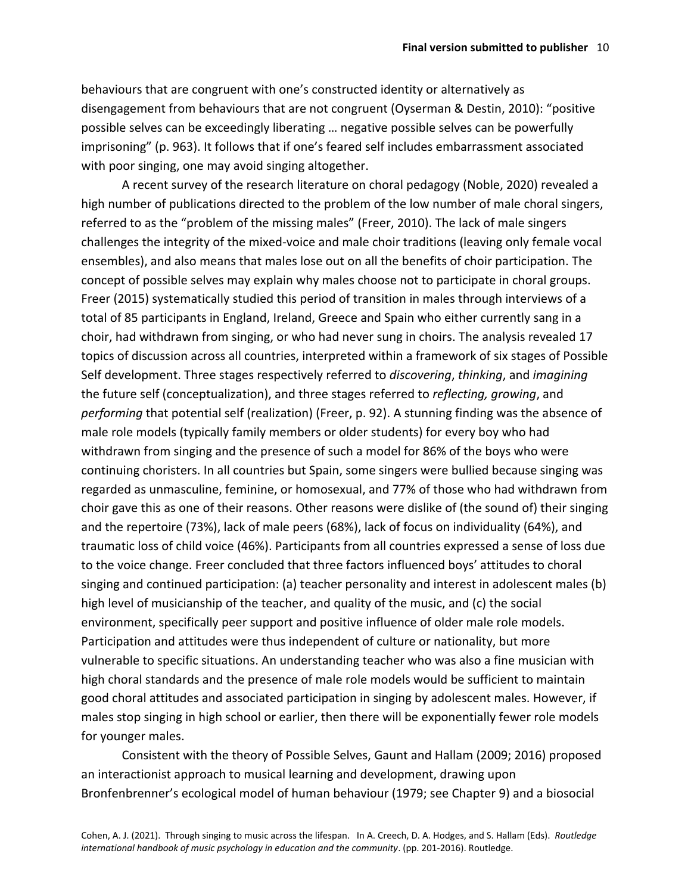behaviours that are congruent with one's constructed identity or alternatively as disengagement from behaviours that are not congruent (Oyserman & Destin, 2010): "positive possible selves can be exceedingly liberating … negative possible selves can be powerfully imprisoning" (p. 963). It follows that if one's feared self includes embarrassment associated with poor singing, one may avoid singing altogether.

A recent survey of the research literature on choral pedagogy (Noble, 2020) revealed a high number of publications directed to the problem of the low number of male choral singers, referred to as the "problem of the missing males" (Freer, 2010). The lack of male singers challenges the integrity of the mixed-voice and male choir traditions (leaving only female vocal ensembles), and also means that males lose out on all the benefits of choir participation. The concept of possible selves may explain why males choose not to participate in choral groups. Freer (2015) systematically studied this period of transition in males through interviews of a total of 85 participants in England, Ireland, Greece and Spain who either currently sang in a choir, had withdrawn from singing, or who had never sung in choirs. The analysis revealed 17 topics of discussion across all countries, interpreted within a framework of six stages of Possible Self development. Three stages respectively referred to *discovering*, *thinking*, and *imagining* the future self (conceptualization), and three stages referred to *reflecting, growing*, and *performing* that potential self (realization) (Freer, p. 92). A stunning finding was the absence of male role models (typically family members or older students) for every boy who had withdrawn from singing and the presence of such a model for 86% of the boys who were continuing choristers. In all countries but Spain, some singers were bullied because singing was regarded as unmasculine, feminine, or homosexual, and 77% of those who had withdrawn from choir gave this as one of their reasons. Other reasons were dislike of (the sound of) their singing and the repertoire (73%), lack of male peers (68%), lack of focus on individuality (64%), and traumatic loss of child voice (46%). Participants from all countries expressed a sense of loss due to the voice change. Freer concluded that three factors influenced boys' attitudes to choral singing and continued participation: (a) teacher personality and interest in adolescent males (b) high level of musicianship of the teacher, and quality of the music, and (c) the social environment, specifically peer support and positive influence of older male role models. Participation and attitudes were thus independent of culture or nationality, but more vulnerable to specific situations. An understanding teacher who was also a fine musician with high choral standards and the presence of male role models would be sufficient to maintain good choral attitudes and associated participation in singing by adolescent males. However, if males stop singing in high school or earlier, then there will be exponentially fewer role models for younger males.

Consistent with the theory of Possible Selves, Gaunt and Hallam (2009; 2016) proposed an interactionist approach to musical learning and development, drawing upon Bronfenbrenner's ecological model of human behaviour (1979; see Chapter 9) and a biosocial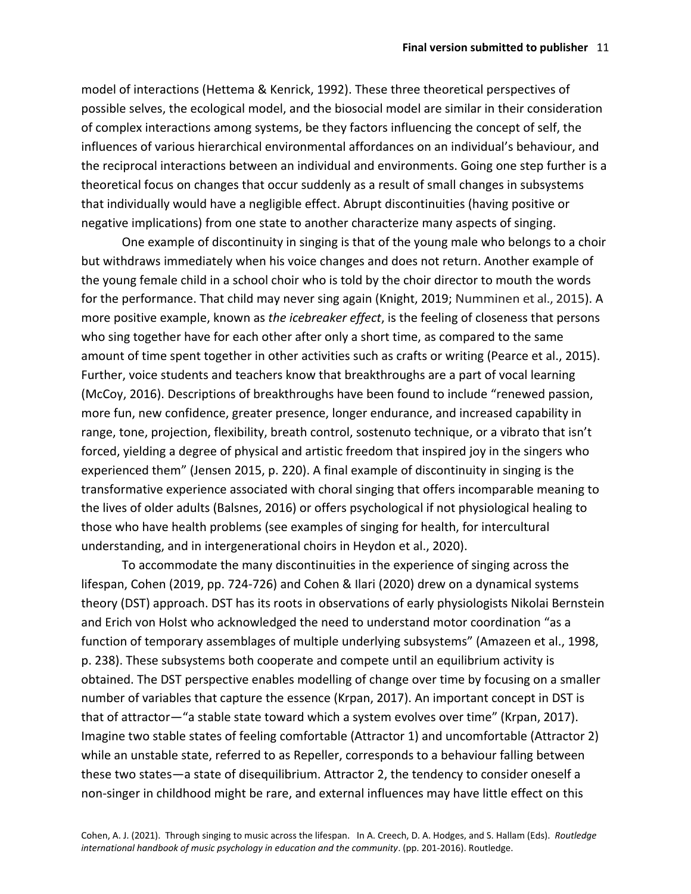model of interactions (Hettema & Kenrick, 1992). These three theoretical perspectives of possible selves, the ecological model, and the biosocial model are similar in their consideration of complex interactions among systems, be they factors influencing the concept of self, the influences of various hierarchical environmental affordances on an individual's behaviour, and the reciprocal interactions between an individual and environments. Going one step further is a theoretical focus on changes that occur suddenly as a result of small changes in subsystems that individually would have a negligible effect. Abrupt discontinuities (having positive or negative implications) from one state to another characterize many aspects of singing.

One example of discontinuity in singing is that of the young male who belongs to a choir but withdraws immediately when his voice changes and does not return. Another example of the young female child in a school choir who is told by the choir director to mouth the words for the performance. That child may never sing again (Knight, 2019; Numminen et al., 2015). A more positive example, known as *the icebreaker effect*, is the feeling of closeness that persons who sing together have for each other after only a short time, as compared to the same amount of time spent together in other activities such as crafts or writing (Pearce et al., 2015). Further, voice students and teachers know that breakthroughs are a part of vocal learning (McCoy, 2016). Descriptions of breakthroughs have been found to include "renewed passion, more fun, new confidence, greater presence, longer endurance, and increased capability in range, tone, projection, flexibility, breath control, sostenuto technique, or a vibrato that isn't forced, yielding a degree of physical and artistic freedom that inspired joy in the singers who experienced them" (Jensen 2015, p. 220). A final example of discontinuity in singing is the transformative experience associated with choral singing that offers incomparable meaning to the lives of older adults (Balsnes, 2016) or offers psychological if not physiological healing to those who have health problems (see examples of singing for health, for intercultural understanding, and in intergenerational choirs in Heydon et al., 2020).

To accommodate the many discontinuities in the experience of singing across the lifespan, Cohen (2019, pp. 724-726) and Cohen & Ilari (2020) drew on a dynamical systems theory (DST) approach. DST has its roots in observations of early physiologists Nikolai Bernstein and Erich von Holst who acknowledged the need to understand motor coordination "as a function of temporary assemblages of multiple underlying subsystems" (Amazeen et al., 1998, p. 238). These subsystems both cooperate and compete until an equilibrium activity is obtained. The DST perspective enables modelling of change over time by focusing on a smaller number of variables that capture the essence (Krpan, 2017). An important concept in DST is that of attractor—"a stable state toward which a system evolves over time" (Krpan, 2017). Imagine two stable states of feeling comfortable (Attractor 1) and uncomfortable (Attractor 2) while an unstable state, referred to as Repeller, corresponds to a behaviour falling between these two states—a state of disequilibrium. Attractor 2, the tendency to consider oneself a non-singer in childhood might be rare, and external influences may have little effect on this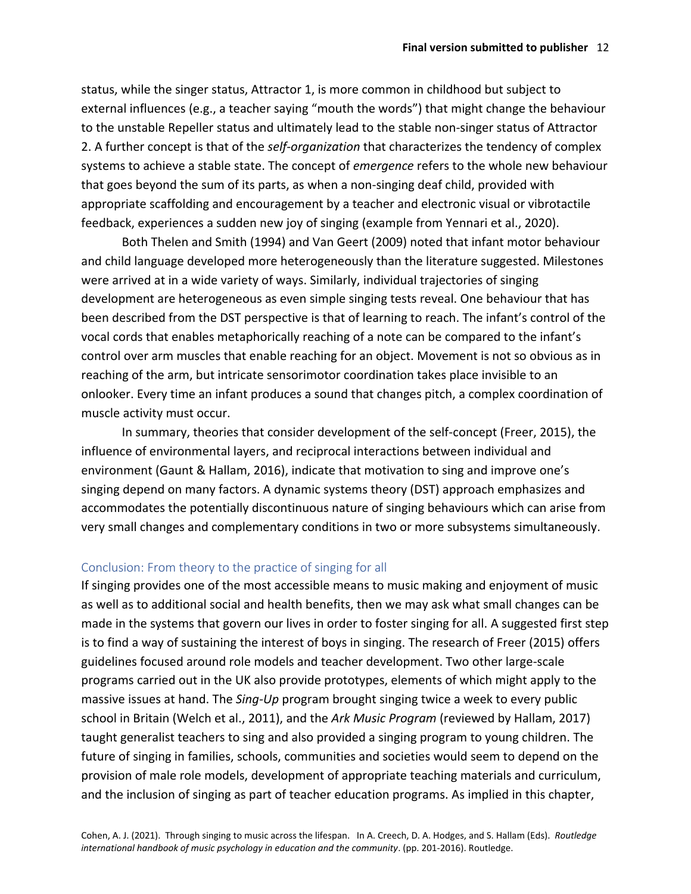status, while the singer status, Attractor 1, is more common in childhood but subject to external influences (e.g., a teacher saying "mouth the words") that might change the behaviour to the unstable Repeller status and ultimately lead to the stable non-singer status of Attractor 2. A further concept is that of the *self-organization* that characterizes the tendency of complex systems to achieve a stable state. The concept of *emergence* refers to the whole new behaviour that goes beyond the sum of its parts, as when a non-singing deaf child, provided with appropriate scaffolding and encouragement by a teacher and electronic visual or vibrotactile feedback, experiences a sudden new joy of singing (example from Yennari et al., 2020).

Both Thelen and Smith (1994) and Van Geert (2009) noted that infant motor behaviour and child language developed more heterogeneously than the literature suggested. Milestones were arrived at in a wide variety of ways. Similarly, individual trajectories of singing development are heterogeneous as even simple singing tests reveal. One behaviour that has been described from the DST perspective is that of learning to reach. The infant's control of the vocal cords that enables metaphorically reaching of a note can be compared to the infant's control over arm muscles that enable reaching for an object. Movement is not so obvious as in reaching of the arm, but intricate sensorimotor coordination takes place invisible to an onlooker. Every time an infant produces a sound that changes pitch, a complex coordination of muscle activity must occur.

In summary, theories that consider development of the self-concept (Freer, 2015), the influence of environmental layers, and reciprocal interactions between individual and environment (Gaunt & Hallam, 2016), indicate that motivation to sing and improve one's singing depend on many factors. A dynamic systems theory (DST) approach emphasizes and accommodates the potentially discontinuous nature of singing behaviours which can arise from very small changes and complementary conditions in two or more subsystems simultaneously.

## Conclusion: From theory to the practice of singing for all

If singing provides one of the most accessible means to music making and enjoyment of music as well as to additional social and health benefits, then we may ask what small changes can be made in the systems that govern our lives in order to foster singing for all. A suggested first step is to find a way of sustaining the interest of boys in singing. The research of Freer (2015) offers guidelines focused around role models and teacher development. Two other large-scale programs carried out in the UK also provide prototypes, elements of which might apply to the massive issues at hand. The *Sing-Up* program brought singing twice a week to every public school in Britain (Welch et al., 2011), and the *Ark Music Program* (reviewed by Hallam, 2017) taught generalist teachers to sing and also provided a singing program to young children. The future of singing in families, schools, communities and societies would seem to depend on the provision of male role models, development of appropriate teaching materials and curriculum, and the inclusion of singing as part of teacher education programs. As implied in this chapter,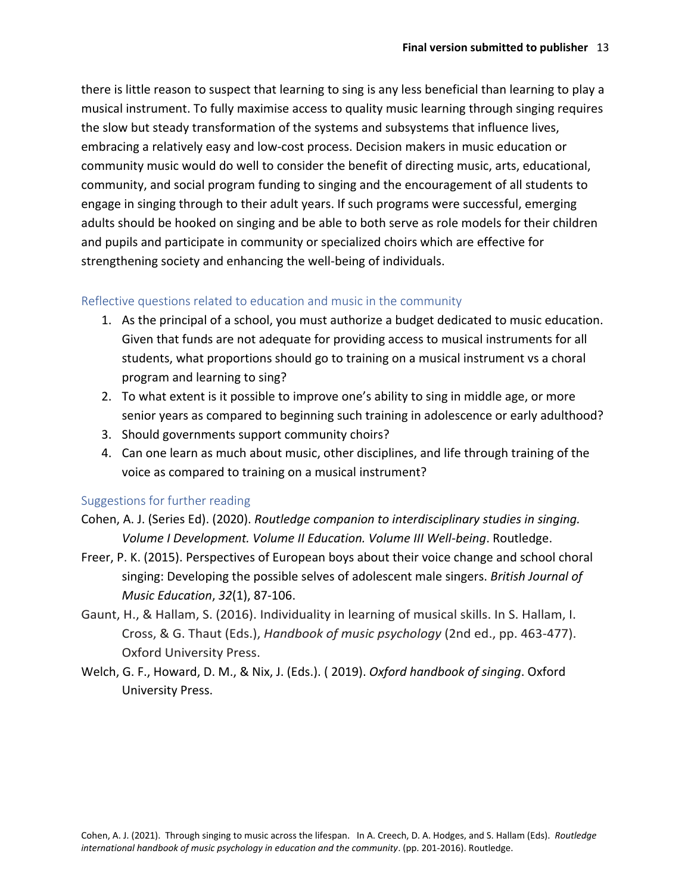there is little reason to suspect that learning to sing is any less beneficial than learning to play a musical instrument. To fully maximise access to quality music learning through singing requires the slow but steady transformation of the systems and subsystems that influence lives, embracing a relatively easy and low-cost process. Decision makers in music education or community music would do well to consider the benefit of directing music, arts, educational, community, and social program funding to singing and the encouragement of all students to engage in singing through to their adult years. If such programs were successful, emerging adults should be hooked on singing and be able to both serve as role models for their children and pupils and participate in community or specialized choirs which are effective for strengthening society and enhancing the well-being of individuals.

#### Reflective questions related to education and music in the community

- 1. As the principal of a school, you must authorize a budget dedicated to music education. Given that funds are not adequate for providing access to musical instruments for all students, what proportions should go to training on a musical instrument vs a choral program and learning to sing?
- 2. To what extent is it possible to improve one's ability to sing in middle age, or more senior years as compared to beginning such training in adolescence or early adulthood?
- 3. Should governments support community choirs?
- 4. Can one learn as much about music, other disciplines, and life through training of the voice as compared to training on a musical instrument?

## Suggestions for further reading

- Cohen, A. J. (Series Ed). (2020). *Routledge companion to interdisciplinary studies in singing. Volume I Development. Volume II Education. Volume III Well-being*. Routledge.
- Freer, P. K. (2015). Perspectives of European boys about their voice change and school choral singing: Developing the possible selves of adolescent male singers. *British Journal of Music Education*, *32*(1), 87-106.
- Gaunt, H., & Hallam, S. (2016). Individuality in learning of musical skills. In S. Hallam, I. Cross, & G. Thaut (Eds.), *Handbook of music psychology* (2nd ed., pp. 463-477). Oxford University Press.
- Welch, G. F., Howard, D. M., & Nix, J. (Eds.). ( 2019). *Oxford handbook of singing*. Oxford University Press.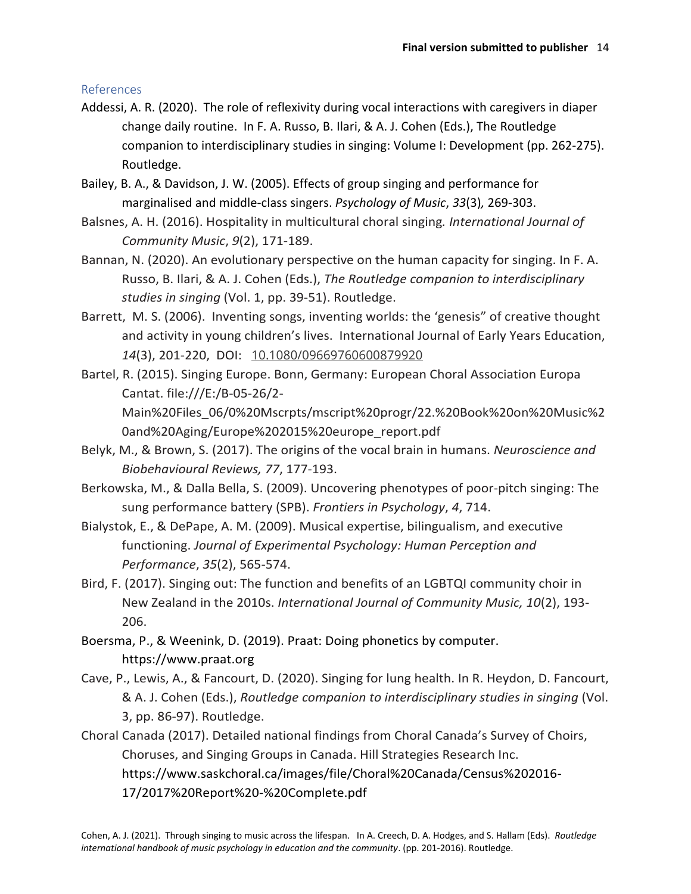# References

- Addessi, A. R. (2020). The role of reflexivity during vocal interactions with caregivers in diaper change daily routine. In F. A. Russo, B. Ilari, & A. J. Cohen (Eds.), The Routledge companion to interdisciplinary studies in singing: Volume I: Development (pp. 262-275). Routledge.
- Bailey, B. A., & Davidson, J. W. (2005). Effects of group singing and performance for marginalised and middle-class singers. *Psychology of Music*, *33*(3)*,* 269-303.
- Balsnes, A. H. (2016). Hospitality in multicultural choral singing*. International Journal of Community Music*, *9*(2), 171-189.
- Bannan, N. (2020). An evolutionary perspective on the human capacity for singing. In F. A. Russo, B. Ilari, & A. J. Cohen (Eds.), *The Routledge companion to interdisciplinary studies in singing* (Vol. 1, pp. 39-51). Routledge.
- Barrett, M. S. (2006). Inventing songs, inventing worlds: the 'genesis" of creative thought and activity in young children's lives. International Journal of Early Years Education, *14*(3), 201-220, DOI: [10.1080/09669760600879920](https://doi.org/10.1080/09669760600879920)
- Bartel, R. (2015). Singing Europe. Bonn, Germany: European Choral Association Europa Cantat. file:///E:/B-05-26/2- Main%20Files\_06/0%20Mscrpts/mscript%20progr/22.%20Book%20on%20Music%2 0and%20Aging/Europe%202015%20europe\_report.pdf
- Belyk, M., & Brown, S. (2017). The origins of the vocal brain in humans. *Neuroscience and Biobehavioural Reviews, 77*, 177-193.
- Berkowska, M., & Dalla Bella, S. (2009). Uncovering phenotypes of poor-pitch singing: The sung performance battery (SPB). *Frontiers in Psychology*, *4*, 714.
- Bialystok, E., & DePape, A. M. (2009). Musical expertise, bilingualism, and executive functioning. *Journal of Experimental Psychology: Human Perception and Performance*, *35*(2), 565-574.
- Bird, F. (2017). Singing out: The function and benefits of an LGBTQI community choir in New Zealand in the 2010s. *International Journal of Community Music, 10*(2), 193- 206.
- Boersma, P., & Weenink, D. (2019). Praat: Doing phonetics by computer. https://www.praat.org
- Cave, P., Lewis, A., & Fancourt, D. (2020). Singing for lung health. In R. Heydon, D. Fancourt, & A. J. Cohen (Eds.), *Routledge companion to interdisciplinary studies in singing* (Vol. 3, pp. 86-97). Routledge.
- Choral Canada (2017). Detailed national findings from Choral Canada's Survey of Choirs, Choruses, and Singing Groups in Canada. Hill Strategies Research Inc. https://www.saskchoral.ca/images/file/Choral%20Canada/Census%202016- 17/2017%20Report%20-%20Complete.pdf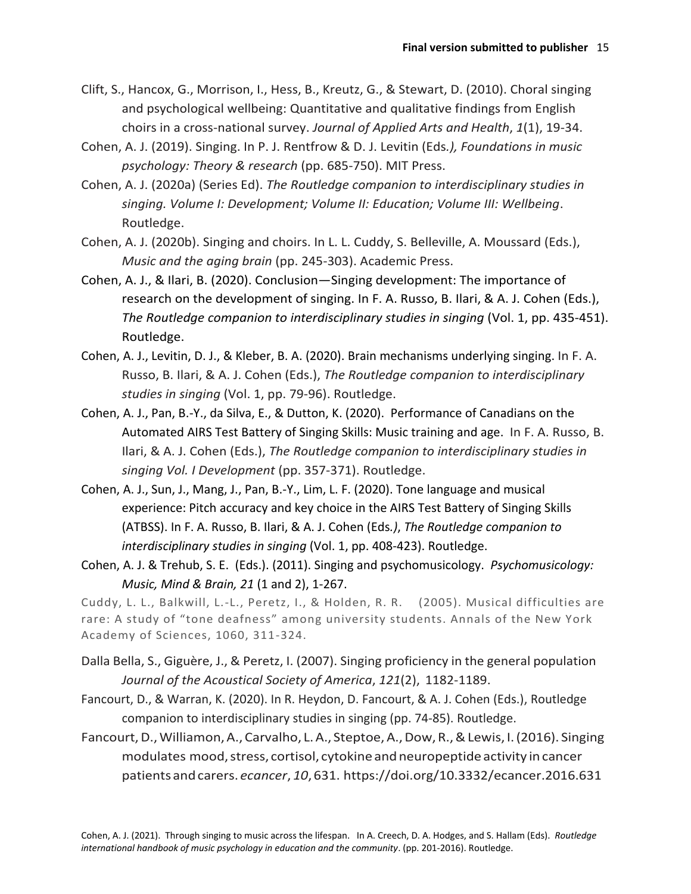- Clift, S., Hancox, G., Morrison, I., Hess, B., Kreutz, G., & Stewart, D. (2010). Choral singing and psychological wellbeing: Quantitative and qualitative findings from English choirs in a cross-national survey. *Journal of Applied Arts and Health*, *1*(1), 19-34.
- Cohen, A. J. (2019). Singing. In P. J. Rentfrow & D. J. Levitin (Eds*.), Foundations in music psychology: Theory & research* (pp. 685-750). MIT Press.
- Cohen, A. J. (2020a) (Series Ed). *The Routledge companion to interdisciplinary studies in singing. Volume I: Development; Volume II: Education; Volume III: Wellbeing*. Routledge.
- Cohen, A. J. (2020b). Singing and choirs. In L. L. Cuddy, S. Belleville, A. Moussard (Eds.), *Music and the aging brain* (pp. 245-303). Academic Press.
- Cohen, A. J., & Ilari, B. (2020). Conclusion—Singing development: The importance of research on the development of singing. In F. A. Russo, B. Ilari, & A. J. Cohen (Eds.), *The Routledge companion to interdisciplinary studies in singing* (Vol. 1, pp. 435-451). Routledge.
- Cohen, A. J., Levitin, D. J., & Kleber, B. A. (2020). Brain mechanisms underlying singing. In F. A. Russo, B. Ilari, & A. J. Cohen (Eds.), *The Routledge companion to interdisciplinary studies in singing* (Vol. 1, pp. 79-96). Routledge.
- Cohen, A. J., Pan, B.-Y., da Silva, E., & Dutton, K. (2020). Performance of Canadians on the Automated AIRS Test Battery of Singing Skills: Music training and age. In F. A. Russo, B. Ilari, & A. J. Cohen (Eds.), *The Routledge companion to interdisciplinary studies in singing Vol. I Development* (pp. 357-371). Routledge.
- Cohen, A. J., Sun, J., Mang, J., Pan, B.-Y., Lim, L. F. (2020). Tone language and musical experience: Pitch accuracy and key choice in the AIRS Test Battery of Singing Skills (ATBSS). In F. A. Russo, B. Ilari, & A. J. Cohen (Eds*.)*, *The Routledge companion to interdisciplinary studies in singing* (Vol. 1, pp. 408-423). Routledge.
- Cohen, A. J. & Trehub, S. E. (Eds.). (2011). Singing and psychomusicology. *Psychomusicology: Music, Mind & Brain, 21* (1 and 2), 1-267.

Cuddy, L. L., Balkwill, L.-L., Peretz, I., & Holden, R. R. (2005). Musical difficulties are rare: A study of "tone deafness" among university students. Annals of the New York Academy of Sciences, 1060, 311-324.

- Dalla Bella, S., Giguère, J., & Peretz, I. (2007). Singing proficiency in the general population *Journal of the Acoustical Society of America*, *121*(2), 1182-1189.
- Fancourt, D., & Warran, K. (2020). In R. Heydon, D. Fancourt, & A. J. Cohen (Eds.), Routledge companion to interdisciplinary studies in singing (pp. 74-85). Routledge.
- Fancourt,D.,Williamon,A., Carvalho, L.A., Steptoe,A.,Dow,R.,&Lewis, I.(2016). Singing modulates mood, stress, cortisol, cytokine and neuropeptide activity in cancer patients andcarers. *ecancer*, *10*, 631. https://doi.org/10.3332/ecancer.2016.631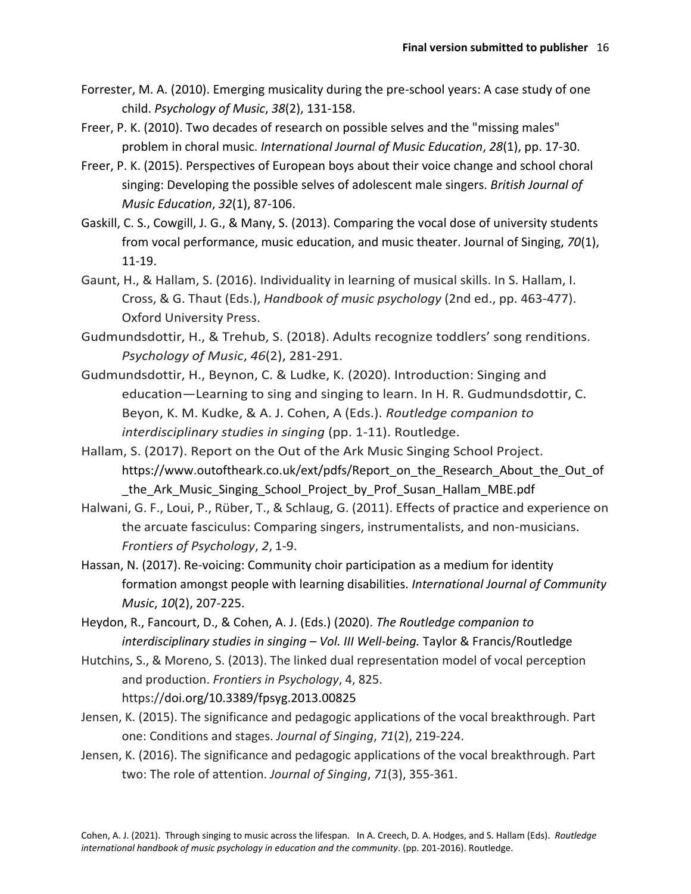- Forrester, M. A. (2010). Emerging musicality during the pre-school years: A case study of one child. *Psychology of Music*, *38*(2), 131-158.
- Freer, P. K. (2010). Two decades of research on possible selves and the "missing males" problem in choral music. *International Journal of Music Education*, *28*(1), pp. 17-30.
- Freer, P. K. (2015). Perspectives of European boys about their voice change and school choral singing: Developing the possible selves of adolescent male singers. *British Journal of Music Education*, *32*(1), 87-106.
- Gaskill, C. S., Cowgill, J. G., & Many, S. (2013). Comparing the vocal dose of university students from vocal performance, music education, and music theater. Journal of Singing, *70*(1), 11-19.
- Gaunt, H., & Hallam, S. (2016). Individuality in learning of musical skills. In S. Hallam, I. Cross, & G. Thaut (Eds.), *Handbook of music psychology* (2nd ed., pp. 463-477). Oxford University Press.
- Gudmundsdottir, H., & Trehub, S. (2018). Adults recognize toddlers' song renditions. *Psychology of Music*, *46*(2), 281-291.
- Gudmundsdottir, H., Beynon, C. & Ludke, K. (2020). Introduction: Singing and education—Learning to sing and singing to learn. In H. R. Gudmundsdottir, C. Beyon, K. M. Kudke, & A. J. Cohen, A (Eds.). *Routledge companion to interdisciplinary studies in singing* (pp. 1-11). Routledge.
- Hallam, S. (2017). Report on the Out of the Ark Music Singing School Project. https://www.outoftheark.co.uk/ext/pdfs/Report\_on\_the\_Research\_About\_the\_Out\_of the Ark Music Singing School Project by Prof Susan Hallam MBE.pdf
- Halwani, G. F., Loui, P., Rüber, T., & Schlaug, G. (2011). Effects of practice and experience on the arcuate fasciculus: Comparing singers, instrumentalists, and non-musicians. *Frontiers of Psychology*, *2*, 1-9.
- Hassan, N. (2017). Re-voicing: Community choir participation as a medium for identity formation amongst people with learning disabilities. *International Journal of Community Music*, *10*(2), 207-225.
- Heydon, R., Fancourt, D., & Cohen, A. J. (Eds.) (2020). *The Routledge companion to interdisciplinary studies in singing – Vol. III Well-being.* Taylor & Francis/Routledge
- Hutchins, S., & Moreno, S. (2013). The linked dual representation model of vocal perception and production. *Frontiers in Psychology*, 4, 825. https://doi.org/10.3389/fpsyg.2013.00825
- Jensen, K. (2015). The significance and pedagogic applications of the vocal breakthrough. Part one: Conditions and stages. *Journal of Singing*, *71*(2), 219-224.
- Jensen, K. (2016). The significance and pedagogic applications of the vocal breakthrough. Part two: The role of attention. *Journal of Singing*, *71*(3), 355-361.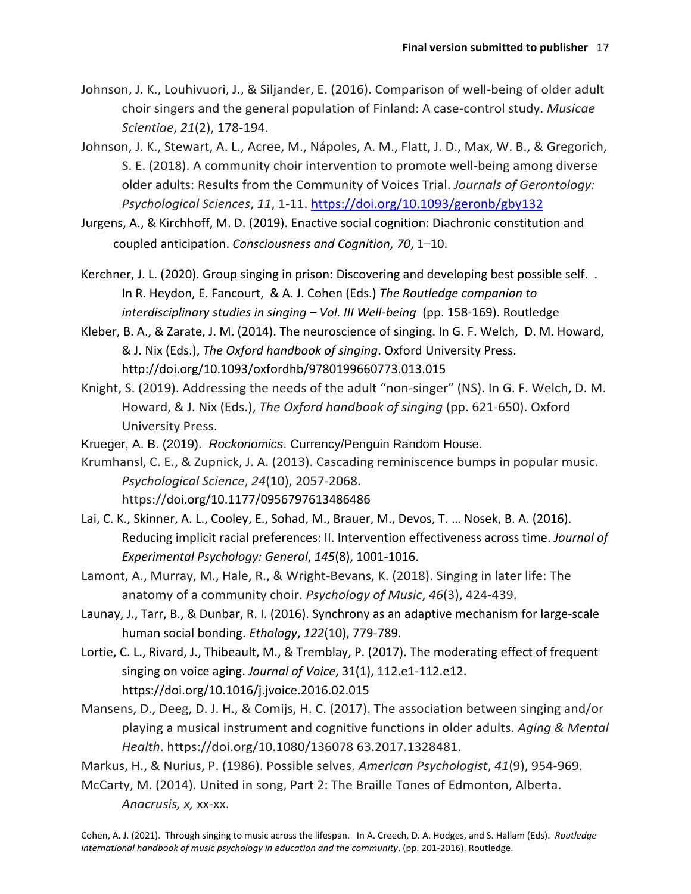- Johnson, J. K., Louhivuori, J., & Siljander, E. (2016). Comparison of well-being of older adult choir singers and the general population of Finland: A case-control study. *Musicae Scientiae*, *21*(2), 178-194.
- Johnson, J. K., Stewart, A. L., Acree, M., Nápoles, A. M., Flatt, J. D., Max, W. B., & Gregorich, S. E. (2018). A community choir intervention to promote well-being among diverse older adults: Results from the Community of Voices Trial. *Journals of Gerontology: Psychological Sciences*, *11*, 1-11.<https://doi.org/10.1093/geronb/gby132>
- Jurgens, A., & Kirchhoff, M. D. (2019). Enactive social cognition: Diachronic constitution and coupled anticipation. *Consciousness and Cognition, 70*, 1–10.
- Kerchner, J. L. (2020). Group singing in prison: Discovering and developing best possible self. . In R. Heydon, E. Fancourt, & A. J. Cohen (Eds.) *The Routledge companion to interdisciplinary studies in singing – Vol. III Well-being* (pp. 158-169). Routledge
- Kleber, B. A., & Zarate, J. M. (2014). The neuroscience of singing. In G. F. Welch, D. M. Howard, & J. Nix (Eds.), *The Oxford handbook of singing*. Oxford University Press. http://doi.org/10.1093/oxfordhb/9780199660773.013.015
- Knight, S. (2019). Addressing the needs of the adult "non-singer" (NS). In G. F. Welch, D. M. Howard, & J. Nix (Eds.), *The Oxford handbook of singing* (pp. 621-650). Oxford University Press.
- Krueger, A. B. (2019). *Rockonomics*. Currency/Penguin Random House.
- Krumhansl, C. E., & Zupnick, J. A. (2013). Cascading reminiscence bumps in popular music. *Psychological Science*, *24*(10), 2057-2068. https://doi.org/10.1177/0956797613486486
- Lai, C. K., Skinner, A. L., Cooley, E., Sohad, M., Brauer, M., Devos, T. … Nosek, B. A. (2016). Reducing implicit racial preferences: II. Intervention effectiveness across time. *Journal of Experimental Psychology: General*, *145*(8), 1001-1016.
- Lamont, A., Murray, M., Hale, R., & Wright-Bevans, K. (2018). Singing in later life: The anatomy of a community choir. *Psychology of Music*, *46*(3), 424-439.
- Launay, J., Tarr, B., & Dunbar, R. I. (2016). Synchrony as an adaptive mechanism for large-scale human social bonding. *Ethology*, *122*(10), 779-789.
- Lortie, C. L., Rivard, J., Thibeault, M., & Tremblay, P. (2017). The moderating effect of frequent singing on voice aging. *Journal of Voice*, 31(1), 112.e1-112.e12. https://doi.org/10.1016/j.jvoice.2016.02.015
- Mansens, D., Deeg, D. J. H., & Comijs, H. C. (2017). The association between singing and/or playing a musical instrument and cognitive functions in older adults. *Aging & Mental Health*. https://doi.org/10.1080/136078 63.2017.1328481.

Markus, H., & Nurius, P. (1986). Possible selves. *American Psychologist*, *41*(9), 954-969.

McCarty, M. (2014). United in song, Part 2: The Braille Tones of Edmonton, Alberta. *Anacrusis, x,* xx-xx.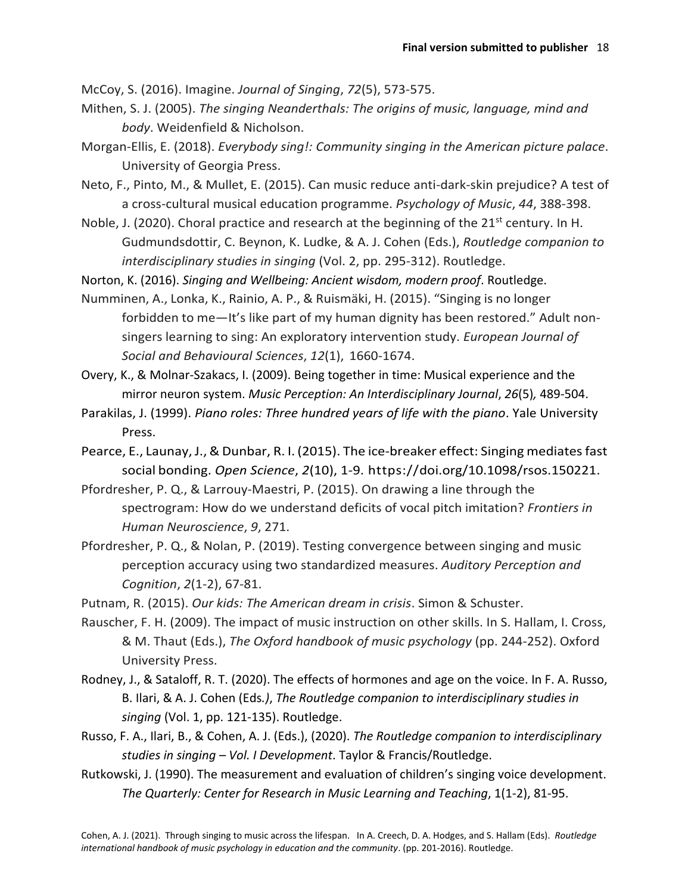McCoy, S. (2016). Imagine. *Journal of Singing*, *72*(5), 573-575.

- Mithen, S. J. (2005). *The singing Neanderthals: The origins of music, language, mind and body*. Weidenfield & Nicholson.
- Morgan-Ellis, E. (2018). *Everybody sing!: Community singing in the American picture palace*. University of Georgia Press.
- Neto, F., Pinto, M., & Mullet, E. (2015). Can music reduce anti-dark-skin prejudice? A test of a cross-cultural musical education programme. *Psychology of Music*, *44*, 388-398.
- Noble, J. (2020). Choral practice and research at the beginning of the 21<sup>st</sup> century. In H. Gudmundsdottir, C. Beynon, K. Ludke, & A. J. Cohen (Eds.), *Routledge companion to interdisciplinary studies in singing* (Vol. 2, pp. 295-312). Routledge.
- Norton, K. (2016). *Singing and Wellbeing: Ancient wisdom, modern proof*. Routledge.
- Numminen, A., Lonka, K., Rainio, A. P., & Ruismäki, H. (2015). "Singing is no longer forbidden to me—It's like part of my human dignity has been restored." Adult nonsingers learning to sing: An exploratory intervention study. *European Journal of Social and Behavioural Sciences*, *12*(1), 1660-1674.
- Overy, K., & Molnar-Szakacs, I. (2009). Being together in time: Musical experience and the mirror neuron system. *Music Perception: An Interdisciplinary Journal*, *26*(5)*,* 489-504.
- Parakilas, J. (1999). *Piano roles: Three hundred years of life with the piano*. Yale University Press.
- Pearce, E., Launay, J., & Dunbar, R. I. (2015). The ice-breaker effect: Singing mediates fast social bonding. *Open Science*, *2*(10), 1-9. https://doi.org/10.1098/rsos.150221.
- Pfordresher, P. Q., & Larrouy-Maestri, P. (2015). On drawing a line through the spectrogram: How do we understand deficits of vocal pitch imitation? *Frontiers in Human Neuroscience*, *9*, 271.
- Pfordresher, P. Q., & Nolan, P. (2019). Testing convergence between singing and music perception accuracy using two standardized measures. *Auditory Perception and Cognition*, *2*(1-2), 67-81.
- Putnam, R. (2015). *Our kids: The American dream in crisis*. Simon & Schuster.
- Rauscher, F. H. (2009). The impact of music instruction on other skills. In S. Hallam, I. Cross, & M. Thaut (Eds.), *The Oxford handbook of music psychology* (pp. 244-252). Oxford University Press.
- Rodney, J., & Sataloff, R. T. (2020). The effects of hormones and age on the voice. In F. A. Russo, B. Ilari, & A. J. Cohen (Eds*.)*, *The Routledge companion to interdisciplinary studies in singing* (Vol. 1, pp. 121-135). Routledge.
- Russo, F. A., Ilari, B., & Cohen, A. J. (Eds.), (2020). *The Routledge companion to interdisciplinary studies in singing – Vol. I Development*. Taylor & Francis/Routledge.
- Rutkowski, J. (1990). The measurement and evaluation of children's singing voice development. *The Quarterly: Center for Research in Music Learning and Teaching*, 1(1-2), 81-95.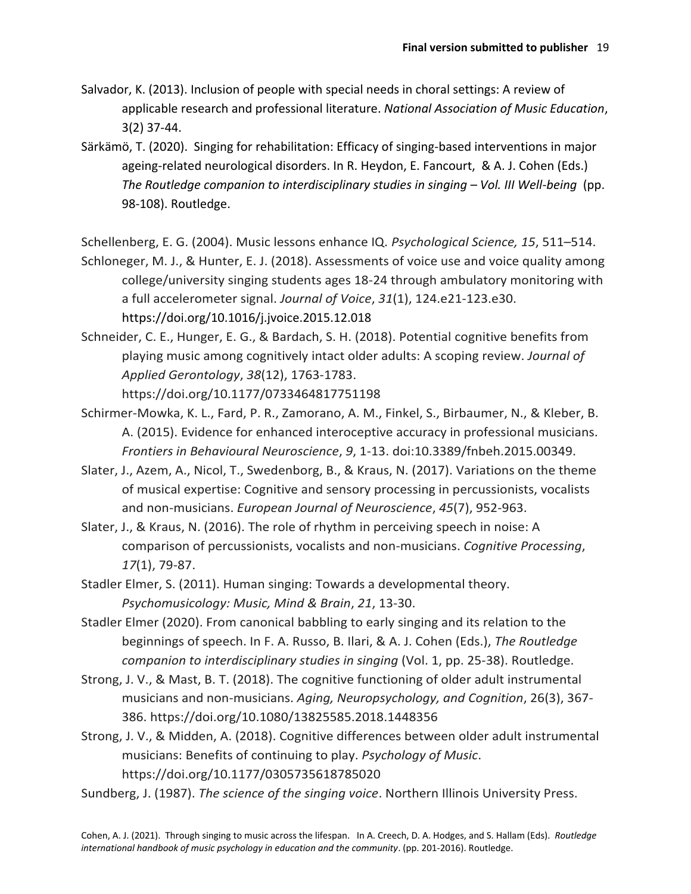- Salvador, K. (2013). Inclusion of people with special needs in choral settings: A review of applicable research and professional literature. *National Association of Music Education*, 3(2) 37-44.
- Särkämö, T. (2020). Singing for rehabilitation: Efficacy of singing-based interventions in major ageing-related neurological disorders. In R. Heydon, E. Fancourt, & A. J. Cohen (Eds.) *The Routledge companion to interdisciplinary studies in singing – Vol. III Well-being* (pp. 98-108). Routledge.

Schellenberg, E. G. (2004). Music lessons enhance IQ. *Psychological Science, 15*, 511–514.

Schloneger, M. J., & Hunter, E. J. (2018). Assessments of voice use and voice quality among college/university singing students ages 18-24 through ambulatory monitoring with a full accelerometer signal. *Journal of Voice*, *31*(1), 124.e21-123.e30. https://doi.org/10.1016/j.jvoice.2015.12.018

Schneider, C. E., Hunger, E. G., & Bardach, S. H. (2018). Potential cognitive benefits from playing music among cognitively intact older adults: A scoping review. *Journal of Applied Gerontology*, *38*(12), 1763-1783.

https://doi.org/10.1177/0733464817751198

- Schirmer-Mowka, K. L., Fard, P. R., Zamorano, A. M., Finkel, S., Birbaumer, N., & Kleber, B. A. (2015). Evidence for enhanced interoceptive accuracy in professional musicians. *Frontiers in Behavioural Neuroscience*, *9*, 1-13. doi:10.3389/fnbeh.2015.00349.
- Slater, J., Azem, A., Nicol, T., Swedenborg, B., & Kraus, N. (2017). Variations on the theme of musical expertise: Cognitive and sensory processing in percussionists, vocalists and non-musicians. *European Journal of Neuroscience*, *45*(7), 952-963.
- Slater, J., & Kraus, N. (2016). The role of rhythm in perceiving speech in noise: A comparison of percussionists, vocalists and non-musicians. *Cognitive Processing*, *17*(1), 79-87.
- Stadler Elmer, S. (2011). Human singing: Towards a developmental theory. *Psychomusicology: Music, Mind & Brain*, *21*, 13-30.
- Stadler Elmer (2020). From canonical babbling to early singing and its relation to the beginnings of speech. In F. A. Russo, B. Ilari, & A. J. Cohen (Eds.), *The Routledge companion to interdisciplinary studies in singing* (Vol. 1, pp. 25-38). Routledge.
- Strong, J. V., & Mast, B. T. (2018). The cognitive functioning of older adult instrumental musicians and non-musicians. *Aging, Neuropsychology, and Cognition*, 26(3), 367- 386. https://doi.org/10.1080/13825585.2018.1448356
- Strong, J. V., & Midden, A. (2018). Cognitive differences between older adult instrumental musicians: Benefits of continuing to play. *Psychology of Music*. https://doi.org/10.1177/0305735618785020

Sundberg, J. (1987). *The science of the singing voice*. Northern Illinois University Press.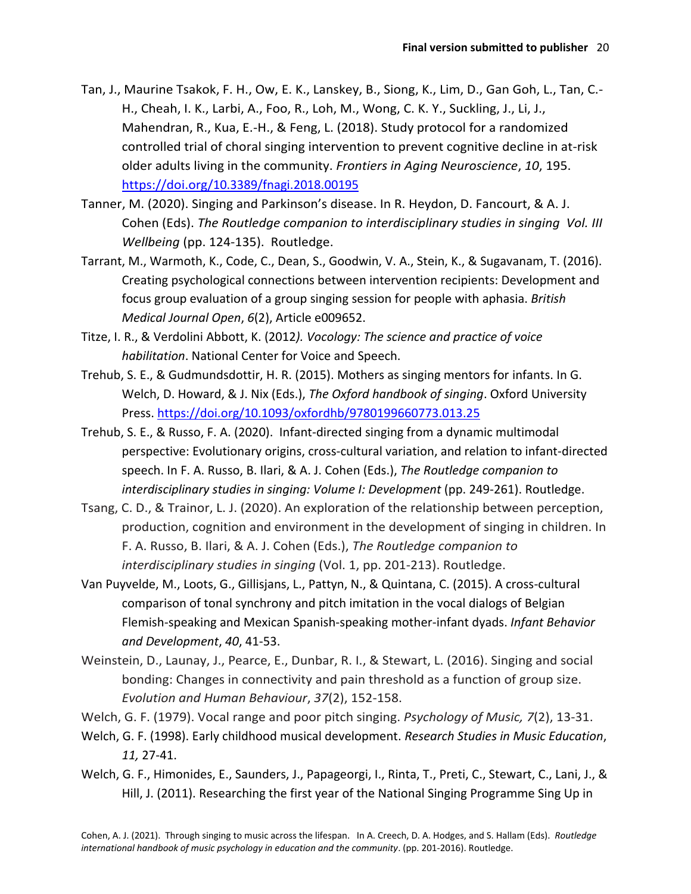- Tan, J., Maurine Tsakok, F. H., Ow, E. K., Lanskey, B., Siong, K., Lim, D., Gan Goh, L., Tan, C.- H., Cheah, I. K., Larbi, A., Foo, R., Loh, M., Wong, C. K. Y., Suckling, J., Li, J., Mahendran, R., Kua, E.-H., & Feng, L. (2018). Study protocol for a randomized controlled trial of choral singing intervention to prevent cognitive decline in at-risk older adults living in the community. *Frontiers in Aging Neuroscience*, *10*, 195. <https://doi.org/10.3389/fnagi.2018.00195>
- Tanner, M. (2020). Singing and Parkinson's disease. In R. Heydon, D. Fancourt, & A. J. Cohen (Eds). *The Routledge companion to interdisciplinary studies in singing Vol. III Wellbeing* (pp. 124-135). Routledge.
- Tarrant, M., Warmoth, K., Code, C., Dean, S., Goodwin, V. A., Stein, K., & Sugavanam, T. (2016). Creating psychological connections between intervention recipients: Development and focus group evaluation of a group singing session for people with aphasia. *British Medical Journal Open*, *6*(2), Article e009652.
- Titze, I. R., & Verdolini Abbott, K. (2012*). Vocology: The science and practice of voice habilitation*. National Center for Voice and Speech.
- Trehub, S. E., & Gudmundsdottir, H. R. (2015). Mothers as singing mentors for infants. In G. Welch, D. Howard, & J. Nix (Eds.), *The Oxford handbook of singing*. Oxford University Press.<https://doi.org/10.1093/oxfordhb/9780199660773.013.25>
- Trehub, S. E., & Russo, F. A. (2020). Infant-directed singing from a dynamic multimodal perspective: Evolutionary origins, cross-cultural variation, and relation to infant-directed speech. In F. A. Russo, B. Ilari, & A. J. Cohen (Eds.), *The Routledge companion to interdisciplinary studies in singing: Volume I: Development* (pp. 249-261). Routledge.
- Tsang, C. D., & Trainor, L. J. (2020). An exploration of the relationship between perception, production, cognition and environment in the development of singing in children. In F. A. Russo, B. Ilari, & A. J. Cohen (Eds.), *The Routledge companion to interdisciplinary studies in singing* (Vol. 1, pp. 201-213). Routledge.
- Van Puyvelde, M., Loots, G., Gillisjans, L., Pattyn, N., & Quintana, C. (2015). A cross-cultural comparison of tonal synchrony and pitch imitation in the vocal dialogs of Belgian Flemish-speaking and Mexican Spanish-speaking mother-infant dyads. *Infant Behavior and Development*, *40*, 41-53.
- Weinstein, D., Launay, J., Pearce, E., Dunbar, R. I., & Stewart, L. (2016). Singing and social bonding: Changes in connectivity and pain threshold as a function of group size. *Evolution and Human Behaviour*, *37*(2), 152-158.
- Welch, G. F. (1979). Vocal range and poor pitch singing. *Psychology of Music, 7*(2), 13-31.
- Welch, G. F. (1998). Early childhood musical development. *Research Studies in Music Education*, *11,* 27-41.
- Welch, G. F., Himonides, E., Saunders, J., Papageorgi, I., Rinta, T., Preti, C., Stewart, C., Lani, J., & Hill, J. (2011). Researching the first year of the National Singing Programme Sing Up in